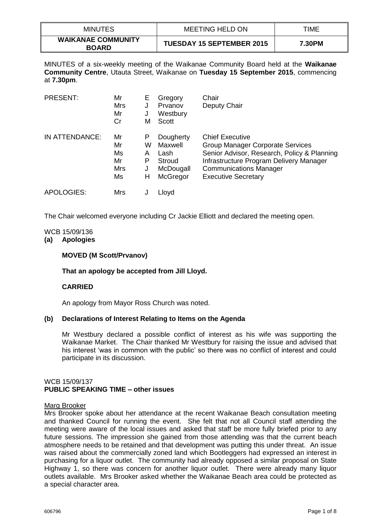| <b>MINUTES</b>                            | <b>MEETING HELD ON</b>           | TIME   |
|-------------------------------------------|----------------------------------|--------|
| <b>WAIKANAE COMMUNITY</b><br><b>BOARD</b> | <b>TUESDAY 15 SEPTEMBER 2015</b> | 7.30PM |

MINUTES of a six-weekly meeting of the Waikanae Community Board held at the **Waikanae Community Centre**, Utauta Street, Waikanae on **Tuesday 15 September 2015**, commencing at **7.30pm**.

| <b>PRESENT:</b> | Mr<br><b>Mrs</b><br>Mr<br>Cr      | E<br>J<br>М                | Gregory<br>Prvanov<br>Westbury<br>Scott                         | Chair<br>Deputy Chair                                                                                                                                                                                               |
|-----------------|-----------------------------------|----------------------------|-----------------------------------------------------------------|---------------------------------------------------------------------------------------------------------------------------------------------------------------------------------------------------------------------|
| IN ATTENDANCE:  | Mr<br>Mr<br>Ms<br>Mr<br>Mrs<br>Ms | Р<br>W<br>A<br>Р<br>J<br>н | Dougherty<br>Maxwell<br>Lash<br>Stroud<br>McDougall<br>McGregor | <b>Chief Executive</b><br>Group Manager Corporate Services<br>Senior Advisor, Research, Policy & Planning<br>Infrastructure Program Delivery Manager<br><b>Communications Manager</b><br><b>Executive Secretary</b> |
| APOLOGIES:      | Mrs                               |                            | Lloyd                                                           |                                                                                                                                                                                                                     |

The Chair welcomed everyone including Cr Jackie Elliott and declared the meeting open.

### WCB 15/09/136

### **(a) Apologies**

### **MOVED (M Scott/Prvanov)**

### **That an apology be accepted from Jill Lloyd.**

### **CARRIED**

An apology from Mayor Ross Church was noted.

### **(b) Declarations of Interest Relating to Items on the Agenda**

Mr Westbury declared a possible conflict of interest as his wife was supporting the Waikanae Market. The Chair thanked Mr Westbury for raising the issue and advised that his interest 'was in common with the public' so there was no conflict of interest and could participate in its discussion.

# WCB 15/09/137 **PUBLIC SPEAKING TIME – other issues**

### Marg Brooker

Mrs Brooker spoke about her attendance at the recent Waikanae Beach consultation meeting and thanked Council for running the event. She felt that not all Council staff attending the meeting were aware of the local issues and asked that staff be more fully briefed prior to any future sessions. The impression she gained from those attending was that the current beach atmosphere needs to be retained and that development was putting this under threat. An issue was raised about the commercially zoned land which Bootleggers had expressed an interest in purchasing for a liquor outlet. The community had already opposed a similar proposal on State Highway 1, so there was concern for another liquor outlet. There were already many liquor outlets available. Mrs Brooker asked whether the Waikanae Beach area could be protected as a special character area.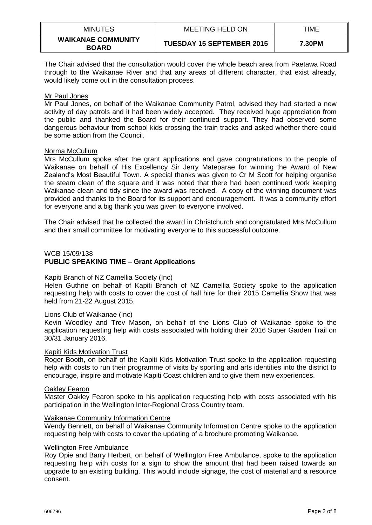| <b>MINUTES</b>                            | <b>MEETING HELD ON</b>           | TIME   |
|-------------------------------------------|----------------------------------|--------|
| <b>WAIKANAE COMMUNITY</b><br><b>BOARD</b> | <b>TUESDAY 15 SEPTEMBER 2015</b> | 7.30PM |

The Chair advised that the consultation would cover the whole beach area from Paetawa Road through to the Waikanae River and that any areas of different character, that exist already, would likely come out in the consultation process.

### Mr Paul Jones

Mr Paul Jones, on behalf of the Waikanae Community Patrol, advised they had started a new activity of day patrols and it had been widely accepted. They received huge appreciation from the public and thanked the Board for their continued support. They had observed some dangerous behaviour from school kids crossing the train tracks and asked whether there could be some action from the Council.

### Norma McCullum

Mrs McCullum spoke after the grant applications and gave congratulations to the people of Waikanae on behalf of His Excellency Sir Jerry Mateparae for winning the Award of New Zealand's Most Beautiful Town. A special thanks was given to Cr M Scott for helping organise the steam clean of the square and it was noted that there had been continued work keeping Waikanae clean and tidy since the award was received. A copy of the winning document was provided and thanks to the Board for its support and encouragement. It was a community effort for everyone and a big thank you was given to everyone involved.

The Chair advised that he collected the award in Christchurch and congratulated Mrs McCullum and their small committee for motivating everyone to this successful outcome.

### WCB 15/09/138

# **PUBLIC SPEAKING TIME – Grant Applications**

### Kapiti Branch of NZ Camellia Society (Inc)

Helen Guthrie on behalf of Kapiti Branch of NZ Camellia Society spoke to the application requesting help with costs to cover the cost of hall hire for their 2015 Camellia Show that was held from 21-22 August 2015.

### Lions Club of Waikanae (Inc)

Kevin Woodley and Trev Mason, on behalf of the Lions Club of Waikanae spoke to the application requesting help with costs associated with holding their 2016 Super Garden Trail on 30/31 January 2016.

### Kapiti Kids Motivation Trust

Roger Booth, on behalf of the Kapiti Kids Motivation Trust spoke to the application requesting help with costs to run their programme of visits by sporting and arts identities into the district to encourage, inspire and motivate Kapiti Coast children and to give them new experiences.

### Oakley Fearon

Master Oakley Fearon spoke to his application requesting help with costs associated with his participation in the Wellington Inter-Regional Cross Country team.

### Waikanae Community Information Centre

Wendy Bennett, on behalf of Waikanae Community Information Centre spoke to the application requesting help with costs to cover the updating of a brochure promoting Waikanae.

### Wellington Free Ambulance

Roy Opie and Barry Herbert, on behalf of Wellington Free Ambulance, spoke to the application requesting help with costs for a sign to show the amount that had been raised towards an upgrade to an existing building. This would include signage, the cost of material and a resource consent.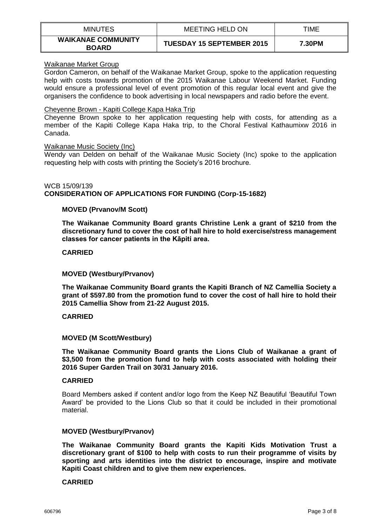| <b>MINUTES</b>                            | <b>MEETING HELD ON</b>           | TIME   |
|-------------------------------------------|----------------------------------|--------|
| <b>WAIKANAE COMMUNITY</b><br><b>BOARD</b> | <b>TUESDAY 15 SEPTEMBER 2015</b> | 7.30PM |

### Waikanae Market Group

Gordon Cameron, on behalf of the Waikanae Market Group, spoke to the application requesting help with costs towards promotion of the 2015 Waikanae Labour Weekend Market. Funding would ensure a professional level of event promotion of this regular local event and give the organisers the confidence to book advertising in local newspapers and radio before the event.

### Cheyenne Brown - Kapiti College Kapa Haka Trip

Cheyenne Brown spoke to her application requesting help with costs, for attending as a member of the Kapiti College Kapa Haka trip, to the Choral Festival Kathaumixw 2016 in Canada.

### Waikanae Music Society (Inc)

Wendy van Delden on behalf of the Waikanae Music Society (Inc) spoke to the application requesting help with costs with printing the Society's 2016 brochure.

## WCB 15/09/139 **CONSIDERATION OF APPLICATIONS FOR FUNDING (Corp-15-1682)**

## **MOVED (Prvanov/M Scott)**

**The Waikanae Community Board grants Christine Lenk a grant of \$210 from the discretionary fund to cover the cost of hall hire to hold exercise/stress management classes for cancer patients in the Kāpiti area.**

### **CARRIED**

### **MOVED (Westbury/Prvanov)**

**The Waikanae Community Board grants the Kapiti Branch of NZ Camellia Society a grant of \$597.80 from the promotion fund to cover the cost of hall hire to hold their 2015 Camellia Show from 21-22 August 2015.**

### **CARRIED**

### **MOVED (M Scott/Westbury)**

**The Waikanae Community Board grants the Lions Club of Waikanae a grant of \$3,500 from the promotion fund to help with costs associated with holding their 2016 Super Garden Trail on 30/31 January 2016.**

### **CARRIED**

Board Members asked if content and/or logo from the Keep NZ Beautiful 'Beautiful Town Award' be provided to the Lions Club so that it could be included in their promotional material.

### **MOVED (Westbury/Prvanov)**

**The Waikanae Community Board grants the Kapiti Kids Motivation Trust a discretionary grant of \$100 to help with costs to run their programme of visits by sporting and arts identities into the district to encourage, inspire and motivate Kapiti Coast children and to give them new experiences.**

### **CARRIED**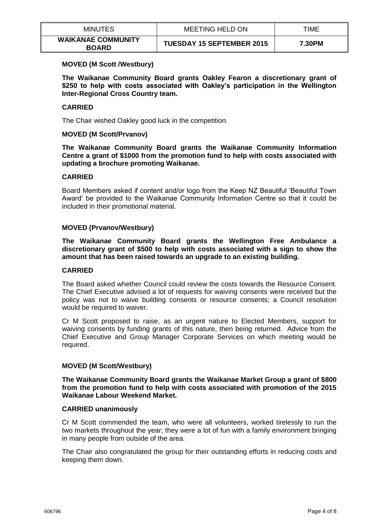| <b>MINUTES</b>                            | <b>MEETING HELD ON</b>           | TIME   |
|-------------------------------------------|----------------------------------|--------|
| <b>WAIKANAE COMMUNITY</b><br><b>BOARD</b> | <b>TUESDAY 15 SEPTEMBER 2015</b> | 7.30PM |

### **MOVED (M Scott /Westbury)**

**The Waikanae Community Board grants Oakley Fearon a discretionary grant of \$250 to help with costs associated with Oakley's participation in the Wellington Inter-Regional Cross Country team.** 

### **CARRIED**

The Chair wished Oakley good luck in the competition.

### **MOVED (M Scott/Prvanov)**

**The Waikanae Community Board grants the Waikanae Community Information Centre a grant of \$1000 from the promotion fund to help with costs associated with updating a brochure promoting Waikanae.**

### **CARRIED**

Board Members asked if content and/or logo from the Keep NZ Beautiful 'Beautiful Town Award' be provided to the Waikanae Community Information Centre so that it could be included in their promotional material.

### **MOVED (Prvanov/Westbury)**

**The Waikanae Community Board grants the Wellington Free Ambulance a discretionary grant of \$500 to help with costs associated with a sign to show the amount that has been raised towards an upgrade to an existing building.**

### **CARRIED**

The Board asked whether Council could review the costs towards the Resource Consent. The Chief Executive advised a lot of requests for waiving consents were received but the policy was not to waive building consents or resource consents; a Council resolution would be required to waiver.

Cr M Scott proposed to raise, as an urgent nature to Elected Members, support for waiving consents by funding grants of this nature, then being returned. Advice from the Chief Executive and Group Manager Corporate Services on which meeting would be required.

## **MOVED (M Scott/Westbury)**

**The Waikanae Community Board grants the Waikanae Market Group a grant of \$800 from the promotion fund to help with costs associated with promotion of the 2015 Waikanae Labour Weekend Market.** 

### **CARRIED unanimously**

Cr M Scott commended the team, who were all volunteers, worked tirelessly to run the two markets throughout the year; they were a lot of fun with a family environment bringing in many people from outside of the area.

The Chair also congratulated the group for their outstanding efforts in reducing costs and keeping them down.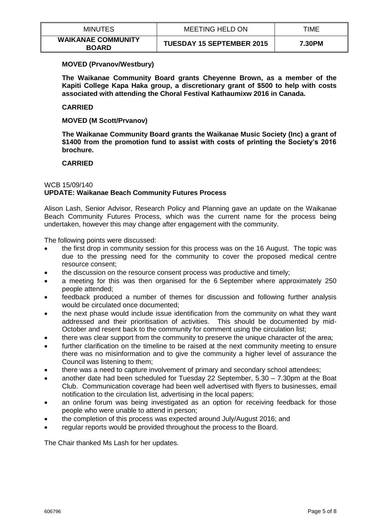| <b>MINUTES</b>                            | MEETING HELD ON                  | TIME   |
|-------------------------------------------|----------------------------------|--------|
| <b>WAIKANAE COMMUNITY</b><br><b>BOARD</b> | <b>TUESDAY 15 SEPTEMBER 2015</b> | 7.30PM |

### **MOVED (Prvanov/Westbury)**

**The Waikanae Community Board grants Cheyenne Brown, as a member of the Kapiti College Kapa Haka group, a discretionary grant of \$500 to help with costs associated with attending the Choral Festival Kathaumixw 2016 in Canada.**

### **CARRIED**

**MOVED (M Scott/Prvanov)**

**The Waikanae Community Board grants the Waikanae Music Society (Inc) a grant of \$1400 from the promotion fund to assist with costs of printing the Society's 2016 brochure.** 

### **CARRIED**

## WCB 15/09/140 **UPDATE: Waikanae Beach Community Futures Process**

Alison Lash, Senior Advisor, Research Policy and Planning gave an update on the Waikanae Beach Community Futures Process, which was the current name for the process being undertaken, however this may change after engagement with the community.

The following points were discussed:

- the first drop in community session for this process was on the 16 August. The topic was due to the pressing need for the community to cover the proposed medical centre resource consent;
- the discussion on the resource consent process was productive and timely;
- a meeting for this was then organised for the 6 September where approximately 250 people attended;
- feedback produced a number of themes for discussion and following further analysis would be circulated once documented;
- the next phase would include issue identification from the community on what they want addressed and their prioritisation of activities. This should be documented by mid-October and resent back to the community for comment using the circulation list;
- there was clear support from the community to preserve the unique character of the area;
- further clarification on the timeline to be raised at the next community meeting to ensure there was no misinformation and to give the community a higher level of assurance the Council was listening to them;
- there was a need to capture involvement of primary and secondary school attendees;
- another date had been scheduled for Tuesday 22 September, 5.30 7.30pm at the Boat Club. Communication coverage had been well advertised with flyers to businesses, email notification to the circulation list, advertising in the local papers;
- an online forum was being investigated as an option for receiving feedback for those people who were unable to attend in person;
- the completion of this process was expected around July/August 2016; and
- regular reports would be provided throughout the process to the Board.

The Chair thanked Ms Lash for her updates.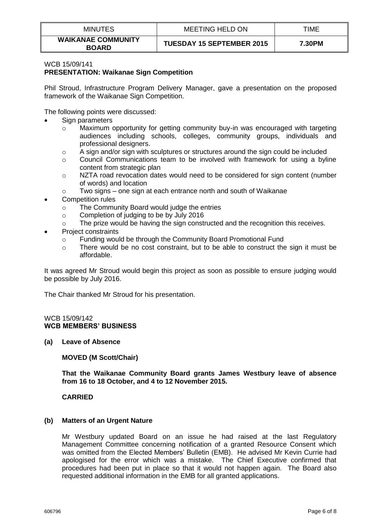| <b>MINUTES</b>                            | <b>MEETING HELD ON</b>           | TIME   |
|-------------------------------------------|----------------------------------|--------|
| <b>WAIKANAE COMMUNITY</b><br><b>BOARD</b> | <b>TUESDAY 15 SEPTEMBER 2015</b> | 7.30PM |

#### WCB 15/09/141 **PRESENTATION: Waikanae Sign Competition**

Phil Stroud, Infrastructure Program Delivery Manager, gave a presentation on the proposed framework of the Waikanae Sign Competition.

The following points were discussed:

- Sign parameters
	- o Maximum opportunity for getting community buy-in was encouraged with targeting audiences including schools, colleges, community groups, individuals and professional designers.
	- $\circ$  A sign and/or sign with sculptures or structures around the sign could be included
	- $\circ$  Council Communications team to be involved with framework for using a byline content from strategic plan
	- $\circ$  NZTA road revocation dates would need to be considered for sign content (number of words) and location
	- o Two signs one sign at each entrance north and south of Waikanae
- Competition rules
	- o The Community Board would judge the entries
	- o Completion of judging to be by July 2016
	- $\circ$  The prize would be having the sign constructed and the recognition this receives.
- Project constraints
	- o Funding would be through the Community Board Promotional Fund
	- $\circ$  There would be no cost constraint, but to be able to construct the sign it must be affordable.

It was agreed Mr Stroud would begin this project as soon as possible to ensure judging would be possible by July 2016.

The Chair thanked Mr Stroud for his presentation.

### WCB 15/09/142 **WCB MEMBERS' BUSINESS**

**(a) Leave of Absence**

**MOVED (M Scott/Chair)**

**That the Waikanae Community Board grants James Westbury leave of absence from 16 to 18 October, and 4 to 12 November 2015.** 

## **CARRIED**

### **(b) Matters of an Urgent Nature**

Mr Westbury updated Board on an issue he had raised at the last Regulatory Management Committee concerning notification of a granted Resource Consent which was omitted from the Elected Members' Bulletin (EMB). He advised Mr Kevin Currie had apologised for the error which was a mistake. The Chief Executive confirmed that procedures had been put in place so that it would not happen again. The Board also requested additional information in the EMB for all granted applications.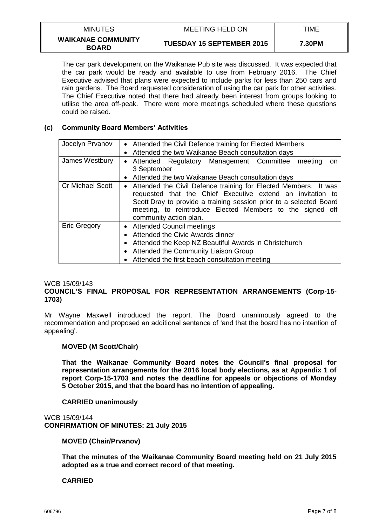| <b>MINUTES</b>                            | <b>MEETING HELD ON</b>           | TIME   |
|-------------------------------------------|----------------------------------|--------|
| <b>WAIKANAE COMMUNITY</b><br><b>BOARD</b> | <b>TUESDAY 15 SEPTEMBER 2015</b> | 7.30PM |

The car park development on the Waikanae Pub site was discussed. It was expected that the car park would be ready and available to use from February 2016. The Chief Executive advised that plans were expected to include parks for less than 250 cars and rain gardens. The Board requested consideration of using the car park for other activities. The Chief Executive noted that there had already been interest from groups looking to utilise the area off-peak. There were more meetings scheduled where these questions could be raised.

## **(c) Community Board Members' Activities**

| Jocelyn Prvanov         | • Attended the Civil Defence training for Elected Members<br>Attended the two Waikanae Beach consultation days<br>$\bullet$                                                                                                                                                                             |  |  |
|-------------------------|---------------------------------------------------------------------------------------------------------------------------------------------------------------------------------------------------------------------------------------------------------------------------------------------------------|--|--|
| James Westbury          | • Attended Regulatory Management Committee<br>meeting<br>on<br>3 September<br>Attended the two Waikanae Beach consultation days                                                                                                                                                                         |  |  |
| <b>Cr Michael Scott</b> | Attended the Civil Defence training for Elected Members. It was<br>$\bullet$<br>requested that the Chief Executive extend an invitation to<br>Scott Dray to provide a training session prior to a selected Board<br>meeting, to reintroduce Elected Members to the signed off<br>community action plan. |  |  |
| <b>Eric Gregory</b>     | • Attended Council meetings<br>Attended the Civic Awards dinner<br>Attended the Keep NZ Beautiful Awards in Christchurch<br>Attended the Community Liaison Group<br>Attended the first beach consultation meeting                                                                                       |  |  |

### WCB 15/09/143

## **COUNCIL'S FINAL PROPOSAL FOR REPRESENTATION ARRANGEMENTS (Corp-15- 1703)**

Mr Wayne Maxwell introduced the report. The Board unanimously agreed to the recommendation and proposed an additional sentence of 'and that the board has no intention of appealing'.

### **MOVED (M Scott/Chair)**

**That the Waikanae Community Board notes the Council's final proposal for representation arrangements for the 2016 local body elections, as at Appendix 1 of report Corp-15-1703 and notes the deadline for appeals or objections of Monday 5 October 2015, and that the board has no intention of appealing.**

### **CARRIED unanimously**

WCB 15/09/144 **CONFIRMATION OF MINUTES: 21 July 2015**

**MOVED (Chair/Prvanov)**

**That the minutes of the Waikanae Community Board meeting held on 21 July 2015 adopted as a true and correct record of that meeting.** 

### **CARRIED**